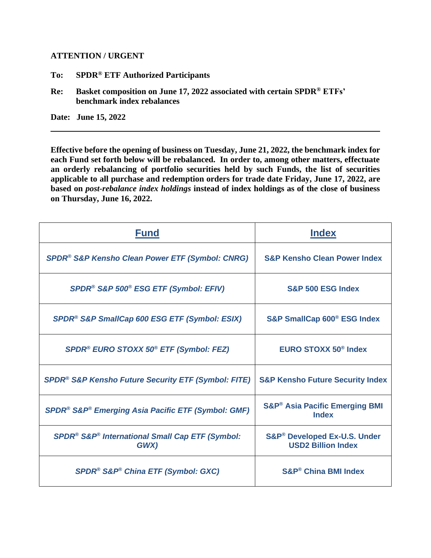## **ATTENTION / URGENT**

- **To: SPDR® ETF Authorized Participants**
- **Re: Basket composition on June 17, 2022 associated with certain SPDR® ETFs' benchmark index rebalances**

**Date: June 15, 2022**

**Effective before the opening of business on Tuesday, June 21, 2022, the benchmark index for each Fund set forth below will be rebalanced. In order to, among other matters, effectuate an orderly rebalancing of portfolio securities held by such Funds, the list of securities applicable to all purchase and redemption orders for trade date Friday, June 17, 2022, are based on** *post-rebalance index holdings* **instead of index holdings as of the close of business on Thursday, June 16, 2022.** 

| <b>Fund</b>                                                                     | <b>Index</b>                                                         |
|---------------------------------------------------------------------------------|----------------------------------------------------------------------|
| SPDR <sup>®</sup> S&P Kensho Clean Power ETF (Symbol: CNRG)                     | <b>S&amp;P Kensho Clean Power Index</b>                              |
| SPDR® S&P 500® ESG ETF (Symbol: EFIV)                                           | <b>S&amp;P 500 ESG Index</b>                                         |
| SPDR® S&P SmallCap 600 ESG ETF (Symbol: ESIX)                                   | S&P SmallCap 600 <sup>®</sup> ESG Index                              |
| SPDR® EURO STOXX 50® ETF (Symbol: FEZ)                                          | <b>EURO STOXX 50<sup>®</sup> Index</b>                               |
| <b>SPDR<sup>®</sup> S&amp;P Kensho Future Security ETF (Symbol: FITE)</b>       | <b>S&amp;P Kensho Future Security Index</b>                          |
| SPDR <sup>®</sup> S&P <sup>®</sup> Emerging Asia Pacific ETF (Symbol: GMF)      | <b>S&amp;P<sup>®</sup> Asia Pacific Emerging BMI</b><br><b>Index</b> |
| SPDR <sup>®</sup> S&P <sup>®</sup> International Small Cap ETF (Symbol:<br>GWX) | S&P® Developed Ex-U.S. Under<br><b>USD2 Billion Index</b>            |
| SPDR® S&P® China ETF (Symbol: GXC)                                              | S&P® China BMI Index                                                 |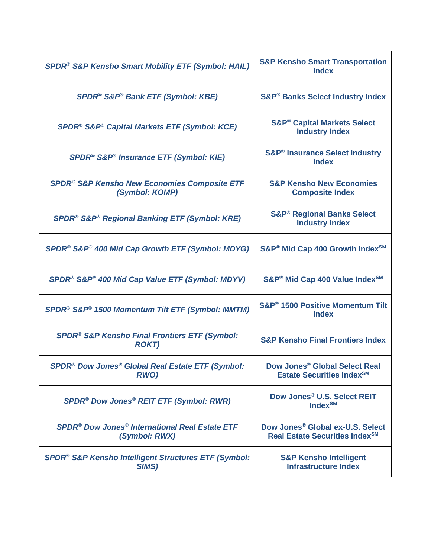| <b>SPDR<sup>®</sup> S&amp;P Kensho Smart Mobility ETF (Symbol: HAIL)</b>                     | <b>S&amp;P Kensho Smart Transportation</b><br><b>Index</b>                                 |
|----------------------------------------------------------------------------------------------|--------------------------------------------------------------------------------------------|
| <b>SPDR<sup>®</sup> S&amp;P<sup>®</sup> Bank ETF (Symbol: KBE)</b>                           | <b>S&amp;P<sup>®</sup> Banks Select Industry Index</b>                                     |
| <b>SPDR<sup>®</sup> S&amp;P<sup>®</sup> Capital Markets ETF (Symbol: KCE)</b>                | <b>S&amp;P<sup>®</sup> Capital Markets Select</b><br><b>Industry Index</b>                 |
| SPDR® S&P® Insurance ETF (Symbol: KIE)                                                       | <b>S&amp;P<sup>®</sup> Insurance Select Industry</b><br><b>Index</b>                       |
| <b>SPDR<sup>®</sup> S&amp;P Kensho New Economies Composite ETF</b><br>(Symbol: KOMP)         | <b>S&amp;P Kensho New Economies</b><br><b>Composite Index</b>                              |
| <b>SPDR<sup>®</sup> S&amp;P<sup>®</sup> Regional Banking ETF (Symbol: KRE)</b>               | <b>S&amp;P® Regional Banks Select</b><br><b>Industry Index</b>                             |
| SPDR® S&P® 400 Mid Cap Growth ETF (Symbol: MDYG)                                             | S&P® Mid Cap 400 Growth Index <sup>SM</sup>                                                |
| SPDR® S&P® 400 Mid Cap Value ETF (Symbol: MDYV)                                              | S&P® Mid Cap 400 Value Index <sup>SM</sup>                                                 |
| SPDR® S&P® 1500 Momentum Tilt ETF (Symbol: MMTM)                                             | S&P® 1500 Positive Momentum Tilt<br><b>Index</b>                                           |
| <b>SPDR<sup>®</sup> S&amp;P Kensho Final Frontiers ETF (Symbol:</b><br><b>ROKT)</b>          | <b>S&amp;P Kensho Final Frontiers Index</b>                                                |
| SPDR® Dow Jones® Global Real Estate ETF (Symbol:<br><b>RWO)</b>                              | Dow Jones <sup>®</sup> Global Select Real<br><b>Estate Securities Index<sup>SM</sup></b>   |
| <b>SPDR<sup>®</sup> Dow Jones<sup>®</sup> REIT ETF (Symbol: RWR)</b>                         | Dow Jones <sup>®</sup> U.S. Select REIT<br>Index <sup>SM</sup>                             |
| <b>SPDR<sup>®</sup> Dow Jones<sup>®</sup> International Real Estate ETF</b><br>(Symbol: RWX) | Dow Jones <sup>®</sup> Global ex-U.S. Select<br>Real Estate Securities Index <sup>SM</sup> |
| <b>SPDR<sup>®</sup> S&amp;P Kensho Intelligent Structures ETF (Symbol:</b><br>SIMS)          | <b>S&amp;P Kensho Intelligent</b><br><b>Infrastructure Index</b>                           |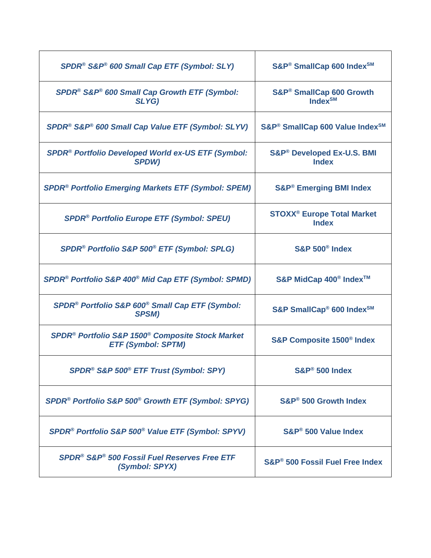| SPDR <sup>®</sup> S&P® 600 Small Cap ETF (Symbol: SLY)                                                | S&P® SmallCap 600 Index <sup>SM</sup>                        |
|-------------------------------------------------------------------------------------------------------|--------------------------------------------------------------|
| SPDR® S&P® 600 Small Cap Growth ETF (Symbol:<br>SLYG)                                                 | S&P® SmallCap 600 Growth<br>Index $\mathsf{S}^{\mathsf{M}}$  |
| SPDR® S&P® 600 Small Cap Value ETF (Symbol: SLYV)                                                     | S&P <sup>®</sup> SmallCap 600 Value Index <sup>SM</sup>      |
| SPDR <sup>®</sup> Portfolio Developed World ex-US ETF (Symbol:<br><b>SPDW)</b>                        | S&P® Developed Ex-U.S. BMI<br><b>Index</b>                   |
| <b>SPDR<sup>®</sup> Portfolio Emerging Markets ETF (Symbol: SPEM)</b>                                 | <b>S&amp;P® Emerging BMI Index</b>                           |
| <b>SPDR<sup>®</sup> Portfolio Europe ETF (Symbol: SPEU)</b>                                           | <b>STOXX<sup>®</sup> Europe Total Market</b><br><b>Index</b> |
| SPDR® Portfolio S&P 500® ETF (Symbol: SPLG)                                                           | <b>S&amp;P 500<sup>®</sup> Index</b>                         |
| SPDR <sup>®</sup> Portfolio S&P 400 <sup>®</sup> Mid Cap ETF (Symbol: SPMD)                           | S&P MidCap 400 <sup>®</sup> Index <sup>™</sup>               |
| SPDR® Portfolio S&P 600® Small Cap ETF (Symbol:<br><b>SPSM)</b>                                       | S&P SmallCap® 600 Index <sup>SM</sup>                        |
| SPDR <sup>®</sup> Portfolio S&P 1500 <sup>®</sup> Composite Stock Market<br><b>ETF (Symbol: SPTM)</b> | <b>S&amp;P Composite 1500<sup>®</sup> Index</b>              |
| SPDR® S&P 500® ETF Trust (Symbol: SPY)                                                                | S&P® 500 Index                                               |
| SPDR <sup>®</sup> Portfolio S&P 500 <sup>®</sup> Growth ETF (Symbol: SPYG)                            | S&P® 500 Growth Index                                        |
| SPDR® Portfolio S&P 500® Value ETF (Symbol: SPYV)                                                     | S&P <sup>®</sup> 500 Value Index                             |
| <b>SPDR<sup>®</sup> S&amp;P<sup>®</sup> 500 Fossil Fuel Reserves Free ETF</b><br>(Symbol: SPYX)       | S&P <sup>®</sup> 500 Fossil Fuel Free Index                  |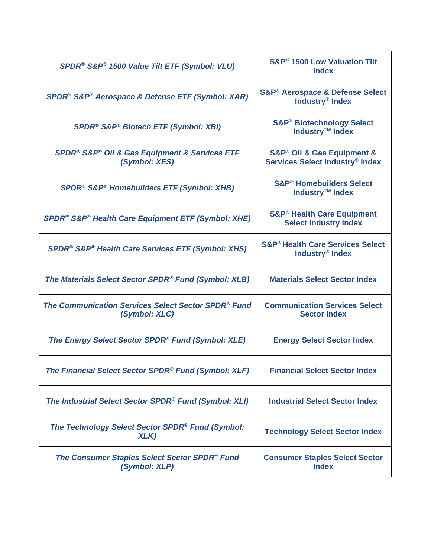| SPDR <sup>®</sup> S&P® 1500 Value Tilt ETF (Symbol: VLU)                         | S&P <sup>®</sup> 1500 Low Valuation Tilt<br><b>Index</b>                         |
|----------------------------------------------------------------------------------|----------------------------------------------------------------------------------|
| SPDR® S&P® Aerospace & Defense ETF (Symbol: XAR)                                 | S&P® Aerospace & Defense Select<br>Industry <sup>®</sup> Index                   |
| SPDR® S&P® Biotech ETF (Symbol: XBI)                                             | <b>S&amp;P® Biotechnology Select</b><br>Industry <sup>™</sup> Index              |
| SPDR <sup>®</sup> S&P® Oil & Gas Equipment & Services ETF<br>(Symbol: XES)       | S&P® Oil & Gas Equipment &<br>Services Select Industry® Index                    |
| <b>SPDR<sup>®</sup> S&amp;P<sup>®</sup> Homebuilders ETF (Symbol: XHB)</b>       | <b>S&amp;P<sup>®</sup> Homebuilders Select</b><br>Industry™ Index                |
| SPDR <sup>®</sup> S&P <sup>®</sup> Health Care Equipment ETF (Symbol: XHE)       | <b>S&amp;P<sup>®</sup> Health Care Equipment</b><br><b>Select Industry Index</b> |
| <b>SPDR<sup>®</sup> S&amp;P® Health Care Services ETF (Symbol: XHS)</b>          | <b>S&amp;P<sup>®</sup> Health Care Services Select</b><br>Industry® Index        |
| The Materials Select Sector SPDR® Fund (Symbol: XLB)                             | <b>Materials Select Sector Index</b>                                             |
| The Communication Services Select Sector SPDR <sup>®</sup> Fund<br>(Symbol: XLC) | <b>Communication Services Select</b><br><b>Sector Index</b>                      |
| The Energy Select Sector SPDR® Fund (Symbol: XLE)                                | <b>Energy Select Sector Index</b>                                                |
| The Financial Select Sector SPDR <sup>®</sup> Fund (Symbol: XLF)                 | <b>Financial Select Sector Index</b>                                             |
| The Industrial Select Sector SPDR® Fund (Symbol: XLI)                            | <b>Industrial Select Sector Index</b>                                            |
| The Technology Select Sector SPDR <sup>®</sup> Fund (Symbol:<br>XLK)             | <b>Technology Select Sector Index</b>                                            |
| The Consumer Staples Select Sector SPDR <sup>®</sup> Fund<br>(Symbol: XLP)       | <b>Consumer Staples Select Sector</b><br><b>Index</b>                            |